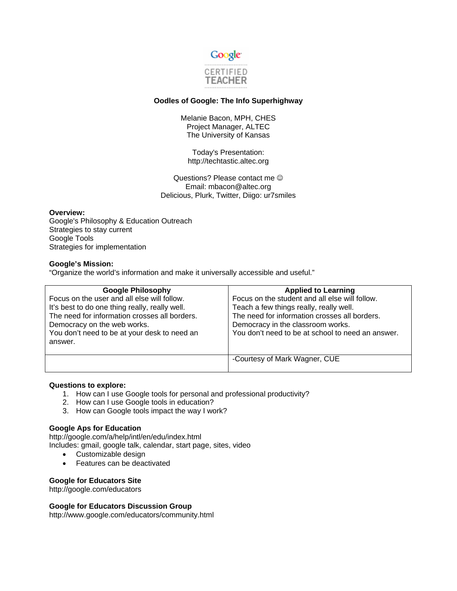

# **Oodles of Google: The Info Superhighway**

Melanie Bacon, MPH, CHES Project Manager, ALTEC The University of Kansas

Today's Presentation: http://techtastic.altec.org

Questions? Please contact me  $\odot$ Email: mbacon@altec.org Delicious, Plurk, Twitter, Diigo: ur7smiles

## **Overview:**

Google's Philosophy & Education Outreach Strategies to stay current Google Tools Strategies for implementation

## **Google's Mission:**

"Organize the world's information and make it universally accessible and useful."

| <b>Google Philosophy</b>                       | <b>Applied to Learning</b>                        |
|------------------------------------------------|---------------------------------------------------|
| Focus on the user and all else will follow.    | Focus on the student and all else will follow.    |
| It's best to do one thing really, really well. | Teach a few things really, really well.           |
| The need for information crosses all borders.  | The need for information crosses all borders.     |
| Democracy on the web works.                    | Democracy in the classroom works.                 |
| You don't need to be at your desk to need an   | You don't need to be at school to need an answer. |
| answer.                                        |                                                   |
|                                                |                                                   |
|                                                | -Courtesy of Mark Wagner, CUE                     |
|                                                |                                                   |

## **Questions to explore:**

- 1. How can I use Google tools for personal and professional productivity?
- 2. How can I use Google tools in education?
- 3. How can Google tools impact the way I work?

# **Google Aps for Education**

http://google.com/a/help/intl/en/edu/index.html Includes: gmail, google talk, calendar, start page, sites, video

- Customizable design
- Features can be deactivated

# **Google for Educators Site**

http://google.com/educators

## **Google for Educators Discussion Group**

http://www.google.com/educators/community.html